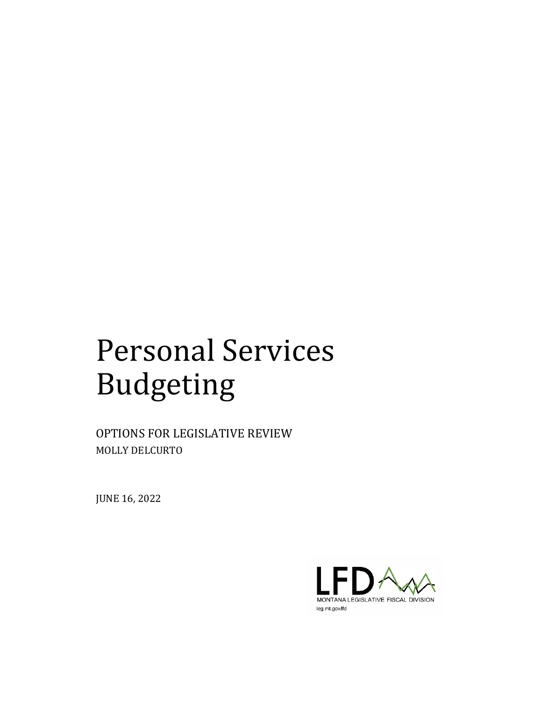# Personal Services Budgeting

OPTIONS FOR LEGISLATIVE REVIEW MOLLY DELCURTO

JUNE 16, 2022

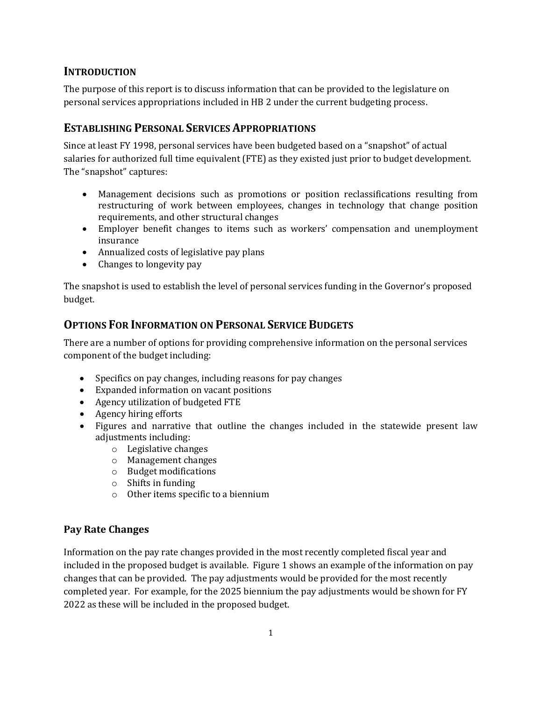# **INTRODUCTION**

The purpose of this report is to discuss information that can be provided to the legislature on personal services appropriations included in HB 2 under the current budgeting process.

# **ESTABLISHING PERSONAL SERVICES APPROPRIATIONS**

Since at least FY 1998, personal services have been budgeted based on a "snapshot" of actual salaries for authorized full time equivalent (FTE) as they existed just prior to budget development. The "snapshot" captures:

- Management decisions such as promotions or position reclassifications resulting from restructuring of work between employees, changes in technology that change position requirements, and other structural changes
- Employer benefit changes to items such as workers' compensation and unemployment insurance
- Annualized costs of legislative pay plans
- Changes to longevity pay

The snapshot is used to establish the level of personal services funding in the Governor's proposed budget.

# **OPTIONS FOR INFORMATION ON PERSONAL SERVICE BUDGETS**

There are a number of options for providing comprehensive information on the personal services component of the budget including:

- Specifics on pay changes, including reasons for pay changes
- Expanded information on vacant positions
- Agency utilization of budgeted FTE
- Agency hiring efforts
- Figures and narrative that outline the changes included in the statewide present law adjustments including:
	- o Legislative changes
	- o Management changes
	- o Budget modifications
	- o Shifts in funding
	- o Other items specific to a biennium

#### **Pay Rate Changes**

Information on the pay rate changes provided in the most recently completed fiscal year and included in the proposed budget is available. Figure 1 shows an example of the information on pay changes that can be provided. The pay adjustments would be provided for the most recently completed year. For example, for the 2025 biennium the pay adjustments would be shown for FY 2022 as these will be included in the proposed budget.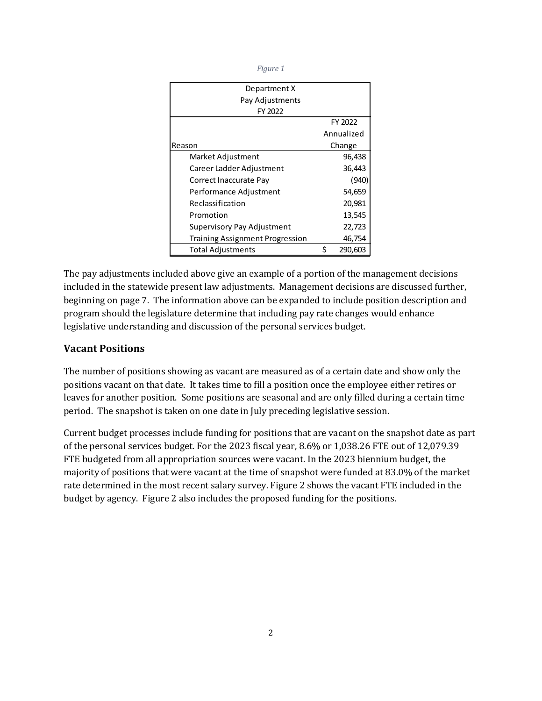| ł |  |
|---|--|

| Department X                           |   |            |
|----------------------------------------|---|------------|
| Pay Adjustments                        |   |            |
| FY 2022                                |   |            |
|                                        |   | FY 2022    |
|                                        |   | Annualized |
| Reason                                 |   | Change     |
| Market Adjustment                      |   | 96,438     |
| Career Ladder Adjustment               |   | 36,443     |
| Correct Inaccurate Pay                 |   | (940)      |
| Performance Adjustment                 |   | 54,659     |
| Reclassification                       |   | 20,981     |
| Promotion                              |   | 13,545     |
| Supervisory Pay Adjustment             |   | 22,723     |
| <b>Training Assignment Progression</b> |   | 46,754     |
| <b>Total Adjustments</b>               | Ś | 290,603    |

The pay adjustments included above give an example of a portion of the management decisions included in the statewide present law adjustments. Management decisions are discussed further, beginning on page 7. The information above can be expanded to include position description and program should the legislature determine that including pay rate changes would enhance legislative understanding and discussion of the personal services budget.

#### **Vacant Positions**

The number of positions showing as vacant are measured as of a certain date and show only the positions vacant on that date. It takes time to fill a position once the employee either retires or leaves for another position. Some positions are seasonal and are only filled during a certain time period. The snapshot is taken on one date in July preceding legislative session.

Current budget processes include funding for positions that are vacant on the snapshot date as part of the personal services budget. For the 2023 fiscal year, 8.6% or 1,038.26 FTE out of 12,079.39 FTE budgeted from all appropriation sources were vacant. In the 2023 biennium budget, the majority of positions that were vacant at the time of snapshot were funded at 83.0% of the market rate determined in the most recent salary survey. Figure 2 shows the vacant FTE included in the budget by agency. Figure 2 also includes the proposed funding for the positions.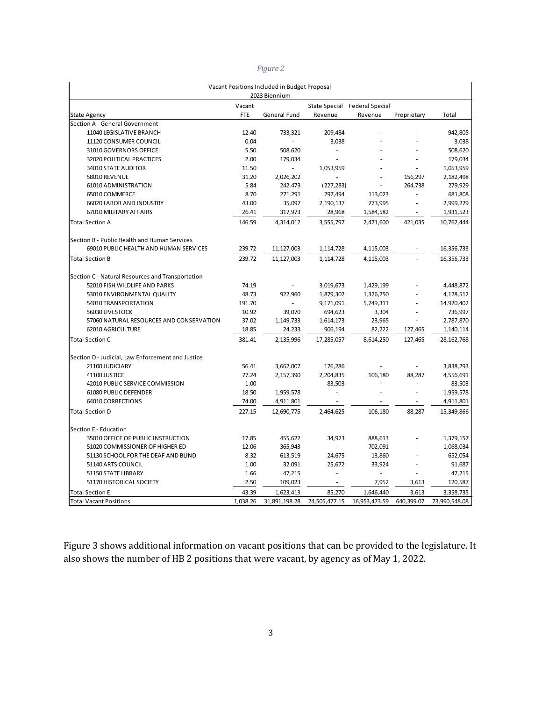|                                                   |            | Vacant Positions Included in Budget Proposal |                          |                               |                          |               |
|---------------------------------------------------|------------|----------------------------------------------|--------------------------|-------------------------------|--------------------------|---------------|
|                                                   |            | 2023 Biennium                                |                          |                               |                          |               |
|                                                   | Vacant     |                                              |                          | State Special Federal Special |                          |               |
| <b>State Agency</b>                               | <b>FTE</b> | General Fund                                 | Revenue                  | Revenue                       | Proprietary              | Total         |
| Section A - General Government                    |            |                                              |                          |                               |                          |               |
| 11040 LEGISLATIVE BRANCH                          | 12.40      | 733,321                                      | 209,484                  |                               |                          | 942,805       |
| 11120 CONSUMER COUNCIL                            | 0.04       |                                              | 3,038                    |                               |                          | 3,038         |
| 31010 GOVERNORS OFFICE                            | 5.50       | 508,620                                      |                          |                               |                          | 508,620       |
| 32020 POLITICAL PRACTICES                         | 2.00       | 179,034                                      |                          |                               |                          | 179,034       |
| 34010 STATE AUDITOR                               | 11.50      |                                              | 1,053,959                |                               |                          | 1,053,959     |
| 58010 REVENUE                                     | 31.20      | 2,026,202                                    |                          |                               | 156,297                  | 2,182,498     |
| 61010 ADMINISTRATION                              | 5.84       | 242,473                                      | (227, 283)               |                               | 264,738                  | 279,929       |
| 65010 COMMERCE                                    | 8.70       | 271,291                                      | 297,494                  | 113,023                       |                          | 681,808       |
| 66020 LABOR AND INDUSTRY                          | 43.00      | 35,097                                       | 2,190,137                | 773,995                       | ä,                       | 2,999,229     |
| 67010 MILITARY AFFAIRS                            | 26.41      | 317,973                                      | 28,968                   | 1,584,582                     | $\blacksquare$           | 1,931,523     |
| <b>Total Section A</b>                            | 146.59     | 4,314,012                                    | 3,555,797                | 2,471,600                     | 421,035                  | 10,762,444    |
| Section B - Public Health and Human Services      |            |                                              |                          |                               |                          |               |
| 69010 PUBLIC HEALTH AND HUMAN SERVICES            | 239.72     | 11,127,003                                   | 1,114,728                | 4,115,003                     |                          | 16,356,733    |
| <b>Total Section B</b>                            | 239.72     | 11,127,003                                   | 1,114,728                | 4,115,003                     |                          | 16,356,733    |
| Section C - Natural Resources and Transportation  |            |                                              |                          |                               |                          |               |
| 52010 FISH WILDLIFE AND PARKS                     | 74.19      |                                              | 3,019,673                | 1,429,199                     |                          | 4,448,872     |
| 53010 ENVIRONMENTAL QUALITY                       | 48.73      | 922,960                                      | 1,879,302                | 1,326,250                     |                          | 4,128,512     |
| 54010 TRANSPORTATION                              | 191.70     |                                              | 9,171,091                | 5,749,311                     |                          | 14,920,402    |
| 56030 LIVESTOCK                                   | 10.92      | 39,070                                       | 694,623                  | 3,304                         |                          | 736,997       |
| 57060 NATURAL RESOURCES AND CONSERVATION          | 37.02      | 1,149,733                                    | 1,614,173                | 23,965                        | ä,                       | 2,787,870     |
| 62010 AGRICULTURE                                 | 18.85      | 24,233                                       | 906,194                  | 82,222                        | 127,465                  | 1,140,114     |
| <b>Total Section C</b>                            | 381.41     | 2,135,996                                    | 17,285,057               | 8,614,250                     | 127,465                  | 28, 162, 768  |
| Section D - Judicial, Law Enforcement and Justice |            |                                              |                          |                               |                          |               |
| 21100 JUDICIARY                                   | 56.41      | 3,662,007                                    | 176,286                  |                               |                          | 3,838,293     |
| 41100 JUSTICE                                     | 77.24      | 2,157,390                                    | 2,204,835                | 106,180                       | 88,287                   | 4,556,691     |
| 42010 PUBLIC SERVICE COMMISSION                   | 1.00       |                                              | 83,503                   |                               |                          | 83,503        |
| 61080 PUBLIC DEFENDER                             | 18.50      | 1,959,578                                    |                          |                               |                          | 1,959,578     |
| 64010 CORRECTIONS                                 | 74.00      | 4,911,801                                    |                          | $\blacksquare$                | $\overline{\phantom{a}}$ | 4,911,801     |
| <b>Total Section D</b>                            | 227.15     | 12,690,775                                   | 2,464,625                | 106,180                       | 88,287                   | 15,349,866    |
| Section E - Education                             |            |                                              |                          |                               |                          |               |
| 35010 OFFICE OF PUBLIC INSTRUCTION                | 17.85      | 455,622                                      | 34,923                   | 888,613                       |                          | 1,379,157     |
| 51020 COMMISSIONER OF HIGHER ED                   | 12.06      | 365,943                                      |                          | 702,091                       |                          | 1,068,034     |
| 51130 SCHOOL FOR THE DEAF AND BLIND               | 8.32       | 613,519                                      | 24,675                   | 13,860                        |                          | 652,054       |
| 51140 ARTS COUNCIL                                | 1.00       | 32,091                                       | 25,672                   | 33,924                        |                          | 91,687        |
| 51150 STATE LIBRARY                               | 1.66       | 47,215                                       |                          |                               |                          | 47,215        |
| 51170 HISTORICAL SOCIETY                          | 2.50       | 109,023                                      | $\overline{\phantom{a}}$ | 7,952                         | 3,613                    | 120,587       |
| <b>Total Section E</b>                            | 43.39      | 1,623,413                                    | 85,270                   | 1,646,440                     | 3,613                    | 3,358,735     |
| <b>Total Vacant Positions</b>                     | 1,038.26   | 31,891,198.28                                | 24,505,477.15            | 16,953,473.59                 | 640,399.07               | 73,990,548.08 |

Figure 3 shows additional information on vacant positions that can be provided to the legislature. It also shows the number of HB 2 positions that were vacant, by agency as of May 1, 2022.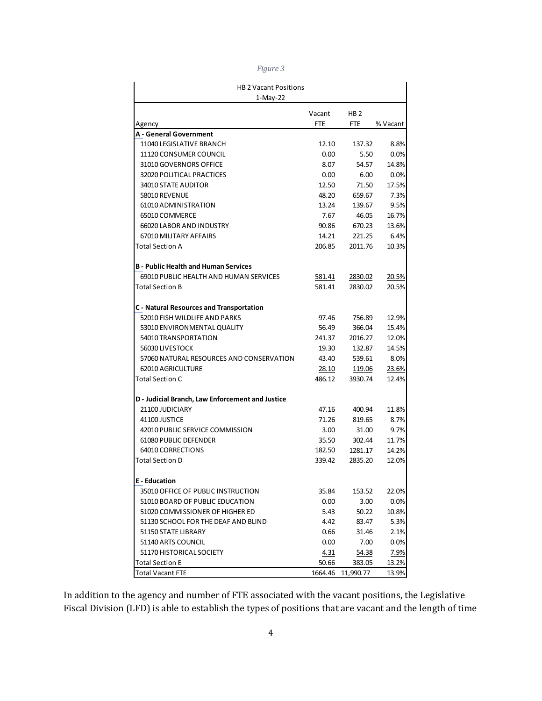*Figure 3* 

| <b>HB 2 Vacant Positions</b>                     |            |                 |          |
|--------------------------------------------------|------------|-----------------|----------|
| 1-May-22                                         |            |                 |          |
|                                                  | Vacant     | HB <sub>2</sub> |          |
| Agency                                           | <b>FTE</b> | <b>FTE</b>      | % Vacant |
| <b>A</b> - General Government                    |            |                 |          |
| 11040 LEGISLATIVE BRANCH                         | 12.10      | 137.32          | 8.8%     |
| 11120 CONSUMER COUNCIL                           | 0.00       | 5.50            | 0.0%     |
| 31010 GOVERNORS OFFICE                           | 8.07       | 54.57           | 14.8%    |
| 32020 POLITICAL PRACTICES                        | 0.00       | 6.00            | 0.0%     |
| 34010 STATE AUDITOR                              | 12.50      | 71.50           | 17.5%    |
| 58010 REVENUE                                    | 48.20      | 659.67          | 7.3%     |
| 61010 ADMINISTRATION                             | 13.24      | 139.67          | 9.5%     |
| 65010 COMMERCE                                   | 7.67       | 46.05           | 16.7%    |
| 66020 LABOR AND INDUSTRY                         | 90.86      | 670.23          | 13.6%    |
| 67010 MILITARY AFFAIRS                           | 14.21      | 221.25          | 6.4%     |
| Total Section A                                  | 206.85     | 2011.76         | 10.3%    |
| <b>B</b> - Public Health and Human Services      |            |                 |          |
| 69010 PUBLIC HEALTH AND HUMAN SERVICES           | 581.41     | 2830.02         | 20.5%    |
| Total Section B                                  | 581.41     | 2830.02         | 20.5%    |
| <b>C</b> - Natural Resources and Transportation  |            |                 |          |
| 52010 FISH WILDLIFE AND PARKS                    | 97.46      | 756.89          | 12.9%    |
| 53010 ENVIRONMENTAL OUALITY                      | 56.49      | 366.04          | 15.4%    |
| 54010 TRANSPORTATION                             | 241.37     | 2016.27         | 12.0%    |
| 56030 LIVESTOCK                                  | 19.30      | 132.87          | 14.5%    |
| 57060 NATURAL RESOURCES AND CONSERVATION         | 43.40      | 539.61          | 8.0%     |
| <b>62010 AGRICULTURE</b>                         | 28.10      | 119.06          | 23.6%    |
| <b>Total Section C</b>                           | 486.12     | 3930.74         | 12.4%    |
| D - Judicial Branch, Law Enforcement and Justice |            |                 |          |
| 21100 JUDICIARY                                  | 47.16      | 400.94          | 11.8%    |
| 41100 JUSTICE                                    | 71.26      | 819.65          | 8.7%     |
| 42010 PUBLIC SERVICE COMMISSION                  | 3.00       | 31.00           | 9.7%     |
| 61080 PUBLIC DEFENDER                            | 35.50      | 302.44          | 11.7%    |
| 64010 CORRECTIONS                                | 182.50     | 1281.17         | 14.2%    |
| <b>Total Section D</b>                           | 339.42     | 2835.20         | 12.0%    |
| <b>E</b> - Education                             |            |                 |          |
| 35010 OFFICE OF PUBLIC INSTRUCTION               | 35.84      | 153.52          | 22.0%    |
| 51010 BOARD OF PUBLIC EDUCATION                  | 0.00       | 3.00            | $0.0\%$  |
| 51020 COMMISSIONER OF HIGHER ED                  | 5.43       | 50.22           | 10.8%    |
| 51130 SCHOOL FOR THE DEAF AND BLIND              | 4.42       | 83.47           | 5.3%     |
| 51150 STATE LIBRARY                              | 0.66       | 31.46           | 2.1%     |
| 51140 ARTS COUNCIL                               | 0.00       | 7.00            | $0.0\%$  |
| 51170 HISTORICAL SOCIETY                         | 4.31       | 54.38           | 7.9%     |
| <b>Total Section E</b>                           | 50.66      | 383.05          | 13.2%    |
| Total Vacant FTE                                 | 1664.46    | 11,990.77       | 13.9%    |

In addition to the agency and number of FTE associated with the vacant positions, the Legislative Fiscal Division (LFD) is able to establish the types of positions that are vacant and the length of time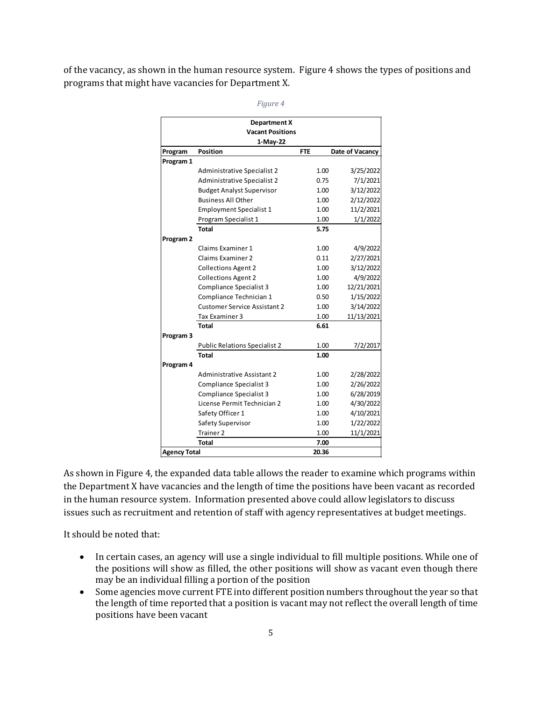of the vacancy, as shown in the human resource system. Figure 4 shows the types of positions and programs that might have vacancies for Department X.

|                      | <b>Department X</b>                  |            |                 |
|----------------------|--------------------------------------|------------|-----------------|
|                      | <b>Vacant Positions</b>              |            |                 |
|                      | 1-May-22                             |            |                 |
| Program              | <b>Position</b>                      | <b>FTE</b> | Date of Vacancy |
| Program 1            |                                      |            |                 |
|                      | <b>Administrative Specialist 2</b>   | 1.00       | 3/25/2022       |
|                      | Administrative Specialist 2          | 0.75       | 7/1/2021        |
|                      | <b>Budget Analyst Supervisor</b>     | 1.00       | 3/12/2022       |
|                      | <b>Business All Other</b>            | 1.00       | 2/12/2022       |
|                      | <b>Employment Specialist 1</b>       | 1.00       | 11/2/2021       |
|                      | Program Specialist 1                 | 1.00       | 1/1/2022        |
|                      | Total                                | 5.75       |                 |
| Program <sub>2</sub> |                                      |            |                 |
|                      | Claims Examiner 1                    | 1.00       | 4/9/2022        |
|                      | Claims Examiner 2                    | 0.11       | 2/27/2021       |
|                      | <b>Collections Agent 2</b>           | 1.00       | 3/12/2022       |
|                      | <b>Collections Agent 2</b>           | 1.00       | 4/9/2022        |
|                      | Compliance Specialist 3              | 1.00       | 12/21/2021      |
|                      | Compliance Technician 1              | 0.50       | 1/15/2022       |
|                      | <b>Customer Service Assistant 2</b>  | 1.00       | 3/14/2022       |
|                      | Tax Examiner 3                       | 1.00       | 11/13/2021      |
|                      | <b>Total</b>                         | 6.61       |                 |
| Program <sub>3</sub> |                                      |            |                 |
|                      | <b>Public Relations Specialist 2</b> | 1.00       | 7/2/2017        |
|                      | Total                                | 1.00       |                 |
| Program 4            |                                      |            |                 |
|                      | <b>Administrative Assistant 2</b>    | 1.00       | 2/28/2022       |
|                      | Compliance Specialist 3              | 1.00       | 2/26/2022       |
|                      | <b>Compliance Specialist 3</b>       | 1.00       | 6/28/2019       |
|                      | License Permit Technician 2          | 1.00       | 4/30/2022       |
|                      | Safety Officer 1                     | 1.00       | 4/10/2021       |
|                      | Safety Supervisor                    | 1.00       | 1/22/2022       |
|                      | Trainer 2                            | 1.00       | 11/1/2021       |
|                      | <b>Total</b>                         | 7.00       |                 |
| <b>Agency Total</b>  |                                      | 20.36      |                 |

*Figure 4* 

As shown in Figure 4, the expanded data table allows the reader to examine which programs within the Department X have vacancies and the length of time the positions have been vacant as recorded in the human resource system. Information presented above could allow legislators to discuss issues such as recruitment and retention of staff with agency representatives at budget meetings.

It should be noted that:

- In certain cases, an agency will use a single individual to fill multiple positions. While one of the positions will show as filled, the other positions will show as vacant even though there may be an individual filling a portion of the position
- Some agencies move current FTE into different position numbers throughout the year so that the length of time reported that a position is vacant may not reflect the overall length of time positions have been vacant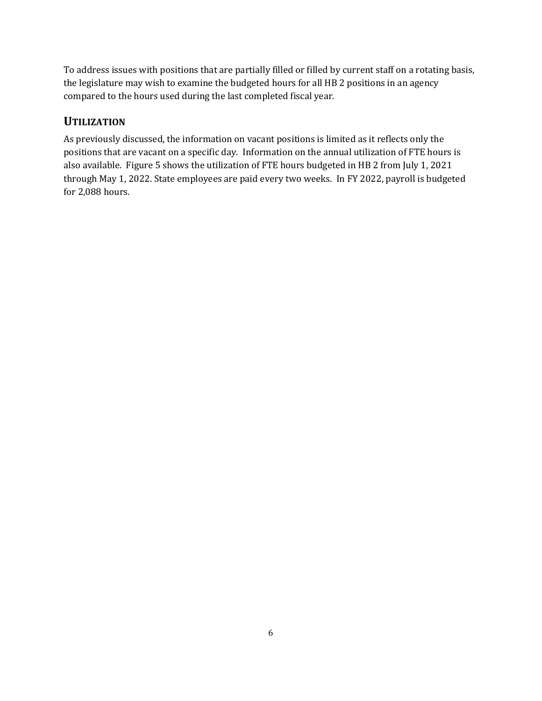To address issues with positions that are partially filled or filled by current staff on a rotating basis, the legislature may wish to examine the budgeted hours for all HB 2 positions in an agency compared to the hours used during the last completed fiscal year.

# **UTILIZATION**

As previously discussed, the information on vacant positions is limited as it reflects only the positions that are vacant on a specific day. Information on the annual utilization of FTE hours is also available. Figure 5 shows the utilization of FTE hours budgeted in HB 2 from July 1, 2021 through May 1, 2022. State employees are paid every two weeks. In FY 2022, payroll is budgeted for 2,088 hours.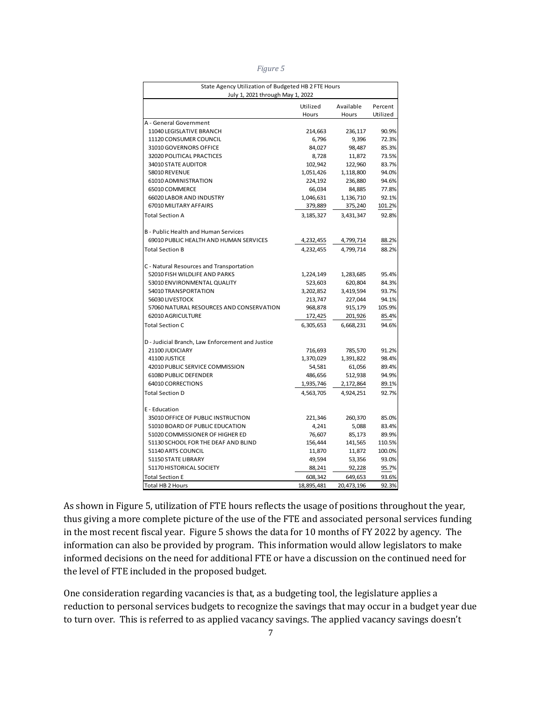*Figure 5* 

| July 1, 2021 through May 1, 2022                                                            | Available             |                |
|---------------------------------------------------------------------------------------------|-----------------------|----------------|
| Utilized                                                                                    |                       | Percent        |
| Hours                                                                                       | Hours                 | Utilized       |
| A - General Government                                                                      |                       |                |
| 11040 LEGISLATIVE BRANCH<br>214,663                                                         | 236,117               | 90.9%          |
| 11120 CONSUMER COUNCIL<br>6,796                                                             | 9,396                 | 72.3%          |
| 31010 GOVERNORS OFFICE<br>84,027                                                            | 98,487                | 85.3%          |
| 32020 POLITICAL PRACTICES<br>8,728                                                          | 11,872                | 73.5%          |
| 34010 STATE AUDITOR<br>102,942                                                              | 122,960               | 83.7%          |
| 58010 REVENUE<br>1,051,426                                                                  | 1,118,800             | 94.0%          |
| 61010 ADMINISTRATION<br>224,192                                                             | 236,880               | 94.6%          |
| 65010 COMMERCE<br>66,034                                                                    | 84,885                | 77.8%          |
| 66020 LABOR AND INDUSTRY<br>1,046,631                                                       | 1,136,710             | 92.1%          |
| 67010 MILITARY AFFAIRS<br>379,889                                                           | 375,240               | 101.2%         |
| <b>Total Section A</b><br>3,185,327                                                         | 3,431,347             | 92.8%          |
|                                                                                             |                       |                |
| B - Public Health and Human Services<br>69010 PUBLIC HEALTH AND HUMAN SERVICES<br>4,232,455 | 4,799,714             | 88.2%          |
| <b>Total Section B</b><br>4,232,455                                                         | 4,799,714             | 88.2%          |
|                                                                                             |                       |                |
| C - Natural Resources and Transportation                                                    |                       |                |
| 52010 FISH WILDLIFE AND PARKS<br>1,224,149                                                  | 1,283,685             | 95.4%          |
| 53010 ENVIRONMENTAL QUALITY<br>523,603                                                      | 620,804               | 84.3%          |
| 54010 TRANSPORTATION<br>3,202,852                                                           | 3,419,594             | 93.7%          |
| 56030 LIVESTOCK<br>213,747                                                                  | 227,044               | 94.1%          |
| 57060 NATURAL RESOURCES AND CONSERVATION<br>968,878                                         | 915,179               | 105.9%         |
| 62010 AGRICULTURE<br>172,425                                                                | 201,926               | 85.4%          |
| 6,305,653<br><b>Total Section C</b>                                                         | 6,668,231             | 94.6%          |
| D - Judicial Branch, Law Enforcement and Justice                                            |                       |                |
| 21100 JUDICIARY<br>716,693                                                                  | 785,570               | 91.2%          |
| 41100 JUSTICE<br>1,370,029                                                                  | 1,391,822             | 98.4%          |
| 42010 PUBLIC SERVICE COMMISSION<br>54,581                                                   | 61,056                | 89.4%          |
| 61080 PUBLIC DEFENDER<br>486,656                                                            | 512,938               | 94.9%          |
| 64010 CORRECTIONS<br>1,935,746                                                              | 2,172,864             | 89.1%          |
| <b>Total Section D</b><br>4,563,705                                                         | 4,924,251             | 92.7%          |
| E - Education                                                                               |                       |                |
| 35010 OFFICE OF PUBLIC INSTRUCTION<br>221,346                                               | 260,370               | 85.0%          |
| 51010 BOARD OF PUBLIC EDUCATION<br>4,241                                                    | 5,088                 | 83.4%          |
| 51020 COMMISSIONER OF HIGHER ED<br>76,607                                                   | 85,173                | 89.9%          |
| 51130 SCHOOL FOR THE DEAF AND BLIND<br>156,444                                              | 141,565               | 110.5%         |
| 51140 ARTS COUNCIL<br>11,870                                                                | 11,872                | 100.0%         |
| 51150 STATE LIBRARY<br>49,594                                                               | 53,356                | 93.0%          |
| 51170 HISTORICAL SOCIETY<br>88,241                                                          | 92,228                | 95.7%          |
|                                                                                             |                       |                |
| 608,342<br><b>Total Section E</b><br>18,895,481<br><b>Total HB 2 Hours</b>                  | 649,653<br>20,473,196 | 93.6%<br>92.3% |

As shown in Figure 5, utilization of FTE hours reflects the usage of positions throughout the year, thus giving a more complete picture of the use of the FTE and associated personal services funding in the most recent fiscal year. Figure 5 shows the data for 10 months of FY 2022 by agency. The information can also be provided by program. This information would allow legislators to make informed decisions on the need for additional FTE or have a discussion on the continued need for the level of FTE included in the proposed budget.

One consideration regarding vacancies is that, as a budgeting tool, the legislature applies a reduction to personal services budgets to recognize the savings that may occur in a budget year due to turn over. This is referred to as applied vacancy savings. The applied vacancy savings doesn't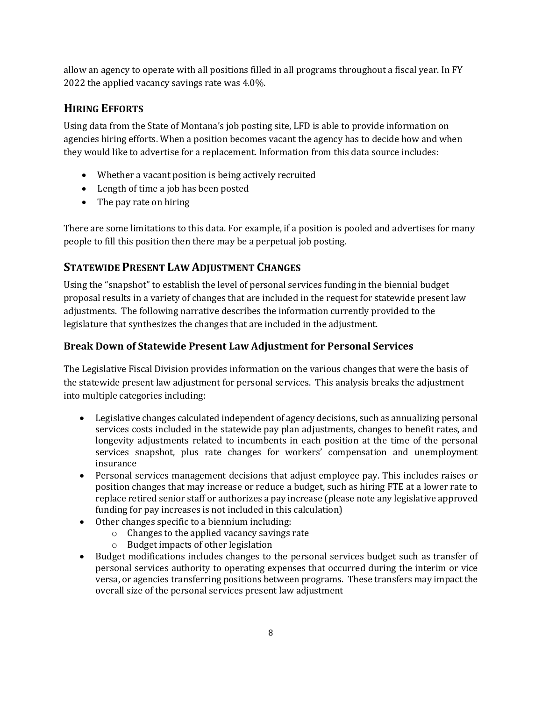allow an agency to operate with all positions filled in all programs throughout a fiscal year. In FY 2022 the applied vacancy savings rate was 4.0%.

# **HIRING EFFORTS**

Using data from the State of Montana's job posting site, LFD is able to provide information on agencies hiring efforts. When a position becomes vacant the agency has to decide how and when they would like to advertise for a replacement. Information from this data source includes:

- Whether a vacant position is being actively recruited
- Length of time a job has been posted
- The pay rate on hiring

There are some limitations to this data. For example, if a position is pooled and advertises for many people to fill this position then there may be a perpetual job posting.

# **STATEWIDE PRESENT LAW ADJUSTMENT CHANGES**

Using the "snapshot" to establish the level of personal services funding in the biennial budget proposal results in a variety of changes that are included in the request for statewide present law adjustments. The following narrative describes the information currently provided to the legislature that synthesizes the changes that are included in the adjustment.

# **Break Down of Statewide Present Law Adjustment for Personal Services**

The Legislative Fiscal Division provides information on the various changes that were the basis of the statewide present law adjustment for personal services. This analysis breaks the adjustment into multiple categories including:

- Legislative changes calculated independent of agency decisions, such as annualizing personal services costs included in the statewide pay plan adjustments, changes to benefit rates, and longevity adjustments related to incumbents in each position at the time of the personal services snapshot, plus rate changes for workers' compensation and unemployment insurance
- Personal services management decisions that adjust employee pay. This includes raises or position changes that may increase or reduce a budget, such as hiring FTE at a lower rate to replace retired senior staff or authorizes a pay increase (please note any legislative approved funding for pay increases is not included in this calculation)
- Other changes specific to a biennium including:
	- o Changes to the applied vacancy savings rate
	- o Budget impacts of other legislation
- Budget modifications includes changes to the personal services budget such as transfer of personal services authority to operating expenses that occurred during the interim or vice versa, or agencies transferring positions between programs. These transfers may impact the overall size of the personal services present law adjustment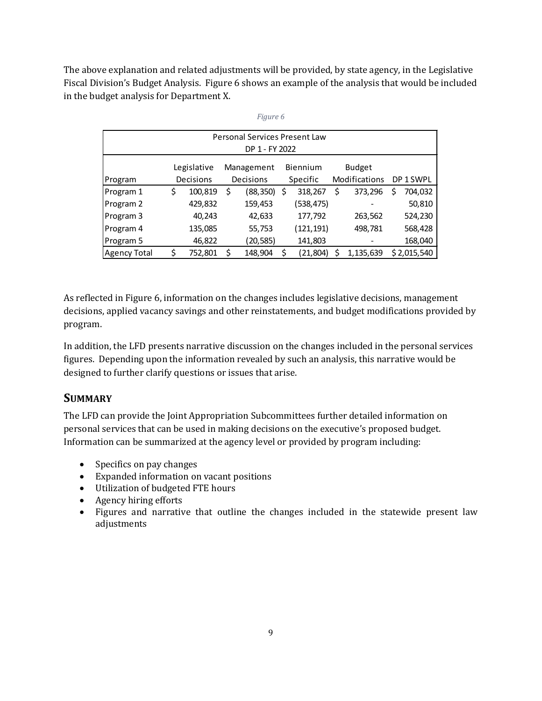The above explanation and related adjustments will be provided, by state agency, in the Legislative Fiscal Division's Budget Analysis. Figure 6 shows an example of the analysis that would be included in the budget analysis for Department X.

|                     |               | Personal Services Present Law<br>DP 1 - FY 2022 |    |            |    |               |   |             |
|---------------------|---------------|-------------------------------------------------|----|------------|----|---------------|---|-------------|
|                     | Legislative   | Management                                      |    | Biennium   |    | <b>Budget</b> |   |             |
| Program             | Decisions     | Decisions                                       |    | Specific   |    | Modifications |   | DP 1 SWPL   |
| Program 1           | \$<br>100,819 | \$<br>(88, 350)                                 | S  | 318,267    | \$ | 373,296       | S | 704,032     |
| Program 2           | 429,832       | 159,453                                         |    | (538, 475) |    |               |   | 50,810      |
| Program 3           | 40,243        | 42,633                                          |    | 177,792    |    | 263,562       |   | 524,230     |
| Program 4           | 135,085       | 55,753                                          |    | (121, 191) |    | 498,781       |   | 568,428     |
| Program 5           | 46,822        | (20, 585)                                       |    | 141,803    |    |               |   | 168,040     |
| <b>Agency Total</b> | \$<br>752,801 | \$<br>148,904                                   | \$ | (21, 804)  | Ś  | 1,135,639     |   | \$2,015,540 |

|--|

As reflected in Figure 6, information on the changes includes legislative decisions, management decisions, applied vacancy savings and other reinstatements, and budget modifications provided by program.

In addition, the LFD presents narrative discussion on the changes included in the personal services figures. Depending upon the information revealed by such an analysis, this narrative would be designed to further clarify questions or issues that arise.

#### **SUMMARY**

The LFD can provide the Joint Appropriation Subcommittees further detailed information on personal services that can be used in making decisions on the executive's proposed budget. Information can be summarized at the agency level or provided by program including:

- Specifics on pay changes
- Expanded information on vacant positions
- Utilization of budgeted FTE hours
- Agency hiring efforts
- Figures and narrative that outline the changes included in the statewide present law adjustments